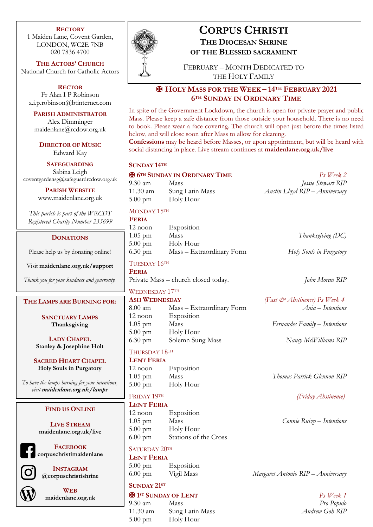### **RECTORY**

1 Maiden Lane, Covent Garden, LONDON, WC2E 7NB 020 7836 4700

**THE ACTORS' CHURCH** National Church for Catholic Actors

**RECTOR** Fr Alan I P Robinson a.i.p.robinson@btinternet.com

**PARISH ADMINISTRATOR** Alex Dimminger maidenlane@rcdow.org.uk

**DIRECTOR OF MUSIC** Edward Kay

**SAFEGUARDING** Sabina Leigh coventgardensg@safeguardrcdow.org.uk

> **PARISH WEBSITE** www.maidenlane.org.uk

*This parish is part of the WRCDT Registered Charity Number 233699*

### **DONATIONS**

Please help us by donating online!

Visit **maidenlane.org.uk/support**

*Thank you for your kindness and generosity.*

### **THE LAMPS ARE BURNING FOR:**

**SANCTUARY LAMPS Thanksgiving**

**LADY CHAPEL Stanley & Josephine Holt**

**SACRED HEART CHAPEL Holy Souls in Purgatory**

*To have the lamps burning for your intentions, visit maidenlane.org.uk/lamps*

#### **FIND US ONLINE**

**LIVE STREAM maidenlane.org.uk/live**



**FACEBOOK corpuschristimaidenlane**



**INSTAGRAM @corpuschristishrine**



**WEB maidenlane.org.uk**



### **CORPUS CHRISTI THE DIOCESAN SHRINE**

**OF THE BLESSED SACRAMENT**

FEBRUARY – MONTH DEDICATED TO THE HOLY FAMILY

### ✠ **HOLY MASS FOR THE WEEK – 14TH FEBRUARY 2021 6TH SUNDAY IN ORDINARY TIME**

In spite of the Government Lockdown, the church is open for private prayer and public Mass. Please keep a safe distance from those outside your household. There is no need to book. Please wear a face covering. The church will open just before the times listed below, and will close soon after Mass to allow for cleaning.

**Confessions** may be heard before Masses, or upon appointment, but will be heard with social distancing in place. Live stream continues at **maidenlane.org.uk/live**

### **SUNDAY 14TH**

✠ **6TH SUNDAY IN ORDINARY TIME** *Ps Week 2* 9.30 am Mass *Jessie Stewart RIP* 11.30 am Sung Latin Mass *Austin Lloyd RIP – Anniversary* 5.00 pm Holy Hour

### MONDAY 15TH

**FERIA** 12 noon Exposition 1.05 pm Mass *Thanksgiving (DC)* 5.00 pm Holy Hour 6.30 pm Mass – Extraordinary Form *Holy Souls in Purgatory*

TUESDAY 16TH **FERIA**

Private Mass – church closed today. *John Moran RIP*

# WEDNESDAY 17TH

8.00 am Mass – Extraordinary Form *Ania – Intentions* 12 noon Exposition 1.05 pm Mass *Fernandes Family – Intentions* 5.00 pm Holy Hour 6.30 pm Solemn Sung Mass *Nancy McWilliams RIP*

### THURSDAY 18TH

**LENT FERIA** 12 noon Exposition 5.00 pm Holy Hour

## **LENT FERIA**

12 noon Exposition 1.05 pm Mass *Connie Ruizo – Intentions* 5.00 pm Holy Hour 6.00 pm Stations of the Cross

### SATURDAY 20TH **LENT FERIA**

5.00 pm Exposition

# **SUNDAY 21ST**

9.30 am Mass *Pro Populo*

11.30 am Sung Latin Mass *Andrew Goh RIP* 5.00 pm Holy Hour

| Thanksgiving (DC) |  |
|-------------------|--|
|-------------------|--|

**ASH WEDNESDAY** *(Fast & Abstinence) Ps Week 4*

1.05 pm Mass *Thomas Patrick Glennon RIP*

FRIDAY 19TH *(Friday Abstinence)*

6.00 pm Vigil Mass *Margaret Antonio RIP – Anniversary*

✠ **1ST SUNDAY OF LENT** *Ps Week 1*